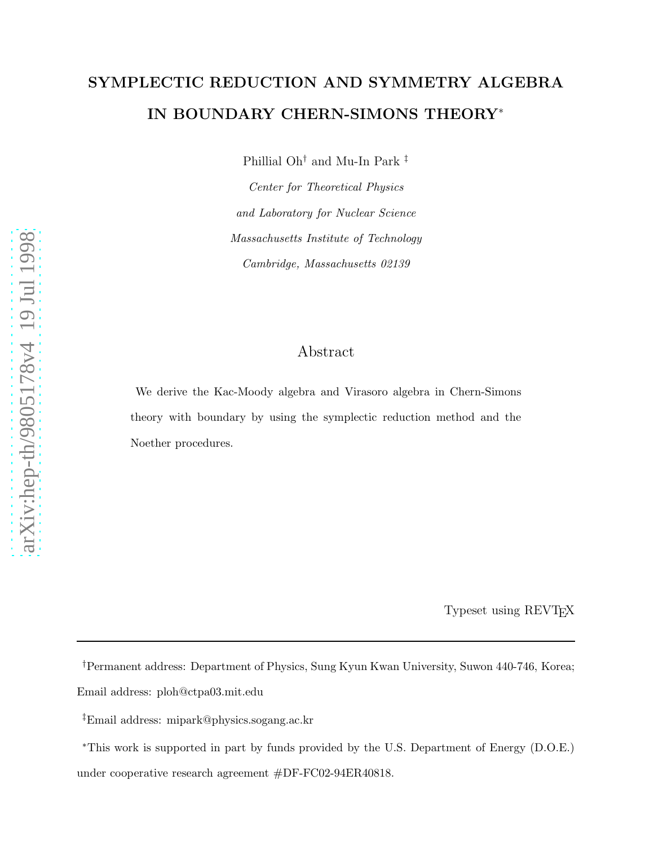# SYMPLECTIC REDUCTION AND SYMMETRY ALGEBRA IN BOUNDARY CHERN-SIMONS THEORY ∗

Phillial Oh † and Mu-In Park ‡

Center for Theoretical Physics and Laboratory for Nuclear Science Massachusetts Institute of Technology Cambridge, Massachusetts 02139

## Abstract

We derive the Kac-Moody algebra and Virasoro algebra in Chern-Simons theory with boundary by using the symplectic reduction method and the Noether procedures.

Typeset using REVTEX

†Permanent address: Department of Physics, Sung Kyun Kwan University, Suwon 440-746, Korea; Email address: ploh@ctpa03.mit.edu

<sup>‡</sup>Email address: mipark@physics.sogang.ac.kr

<sup>∗</sup>This work is supported in part by funds provided by the U.S. Department of Energy (D.O.E.) under cooperative research agreement #DF-FC02-94ER40818 .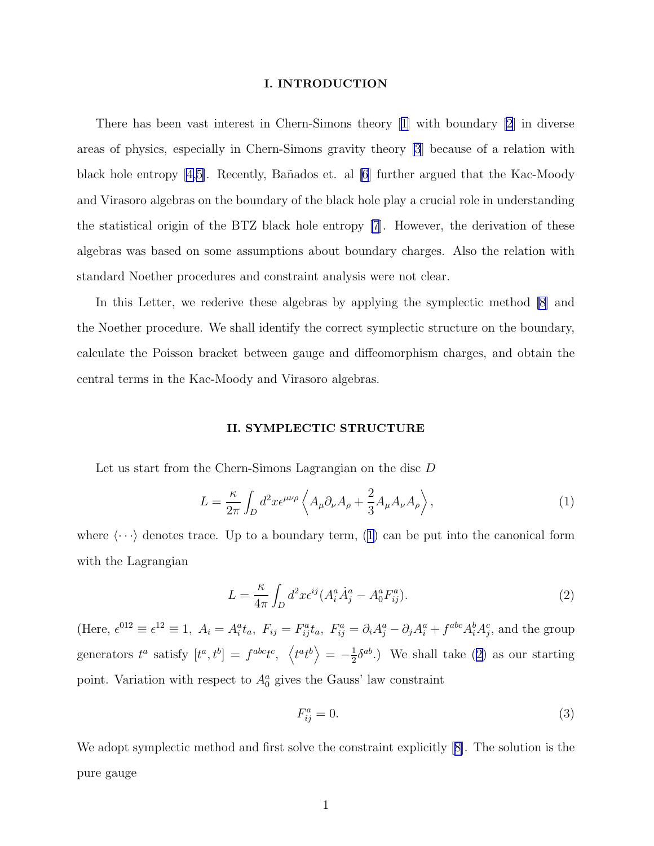#### I. INTRODUCTION

<span id="page-1-0"></span>There has been vast interest in Chern-Simons theory[[1\]](#page-8-0) with boundary [\[2](#page-8-0)] in diverse areas of physics, especially in Chern-Simons gravity theory [\[3](#page-8-0)] because of a relation with blackhole entropy  $[4,5]$  $[4,5]$ . Recently, Bañados et. al  $[6]$  further argued that the Kac-Moody and Virasoro algebras on the boundary of the black hole play a crucial role in understanding the statistical origin of the BTZ black hole entropy [\[7](#page-8-0)]. However, the derivation of these algebras was based on some assumptions about boundary charges. Also the relation with standard Noether procedures and constraint analysis were not clear.

In this Letter, we rederive these algebras by applying the symplectic method [\[8](#page-8-0)] and the Noether procedure. We shall identify the correct symplectic structure on the boundary, calculate the Poisson bracket between gauge and diffeomorphism charges, and obtain the central terms in the Kac-Moody and Virasoro algebras.

#### II. SYMPLECTIC STRUCTURE

Let us start from the Chern-Simons Lagrangian on the disc D

$$
L = \frac{\kappa}{2\pi} \int_D d^2x \epsilon^{\mu\nu\rho} \left\langle A_\mu \partial_\nu A_\rho + \frac{2}{3} A_\mu A_\nu A_\rho \right\rangle, \tag{1}
$$

where  $\langle \cdots \rangle$  denotes trace. Up to a boundary term, (1) can be put into the canonical form with the Lagrangian

$$
L = \frac{\kappa}{4\pi} \int_D d^2x \epsilon^{ij} (A_i^a \dot{A}_j^a - A_0^a F_{ij}^a). \tag{2}
$$

(Here,  $\epsilon^{012} \equiv \epsilon^{12} \equiv 1$ ,  $A_i = A_i^a t_a$ ,  $F_{ij} = F_{ij}^a t_a$ ,  $F_{ij}^a = \partial_i A_j^a - \partial_j A_i^a + f^{abc} A_i^b A_j^c$ , and the group generators  $t^a$  satisfy  $[t^a, t^b] = f^{abc} t^c$ ,  $\langle t^a t^b \rangle = -\frac{1}{2}$  $\frac{1}{2}\delta^{ab}$ .) We shall take (2) as our starting point. Variation with respect to  $A_0^a$  gives the Gauss' law constraint

$$
F_{ij}^a = 0.\t\t(3)
$$

Weadopt symplectic method and first solve the constraint explicitly [[8\]](#page-8-0). The solution is the pure gauge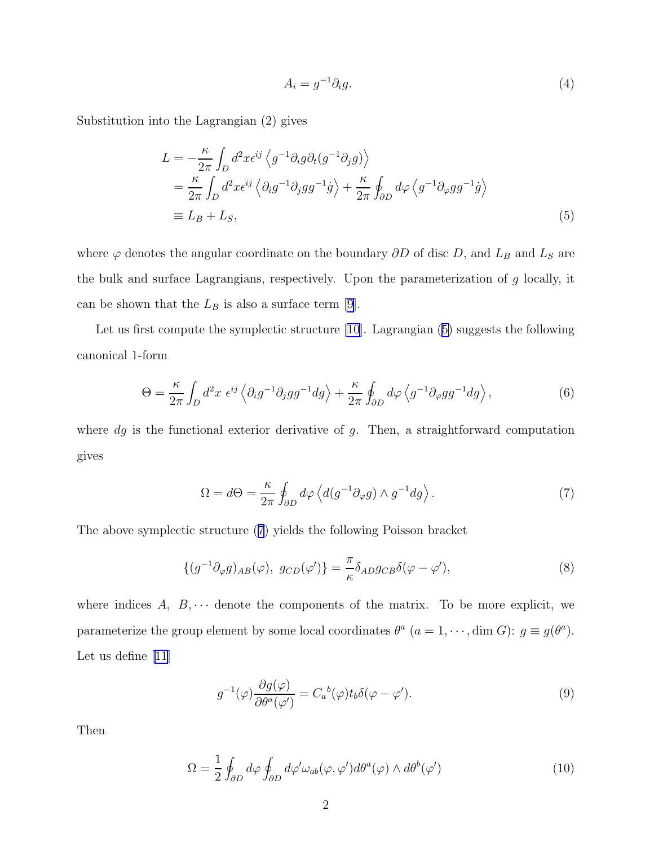$$
A_i = g^{-1} \partial_i g. \tag{4}
$$

<span id="page-2-0"></span>Substitution into the Lagrangian (2) gives

$$
L = -\frac{\kappa}{2\pi} \int_D d^2x \epsilon^{ij} \left\langle g^{-1} \partial_i g \partial_t (g^{-1} \partial_j g) \right\rangle
$$
  
=  $\frac{\kappa}{2\pi} \int_D d^2x \epsilon^{ij} \left\langle \partial_i g^{-1} \partial_j g g^{-1} \dot{g} \right\rangle + \frac{\kappa}{2\pi} \oint_{\partial D} d\varphi \left\langle g^{-1} \partial_\varphi g g^{-1} \dot{g} \right\rangle$   
\equiv  $L_B + L_S$ , (5)

where  $\varphi$  denotes the angular coordinate on the boundary  $\partial D$  of disc D, and  $L_B$  and  $L_S$  are the bulk and surface Lagrangians, respectively. Upon the parameterization of  $g$  locally, it can be shown that the  $L_B$  is also a surface term [\[9](#page-8-0)].

Let us first compute the symplectic structure [\[10\]](#page-8-0). Lagrangian (5) suggests the following canonical 1-form

$$
\Theta = \frac{\kappa}{2\pi} \int_D d^2x \ \epsilon^{ij} \left\langle \partial_i g^{-1} \partial_j g g^{-1} dg \right\rangle + \frac{\kappa}{2\pi} \oint_{\partial D} d\varphi \left\langle g^{-1} \partial_\varphi g g^{-1} dg \right\rangle, \tag{6}
$$

where  $dg$  is the functional exterior derivative of  $g$ . Then, a straightforward computation gives

$$
\Omega = d\Theta = \frac{\kappa}{2\pi} \oint_{\partial D} d\varphi \left\langle d(g^{-1}\partial_{\varphi}g) \wedge g^{-1}dg \right\rangle.
$$
 (7)

The above symplectic structure (7) yields the following Poisson bracket

$$
\{(g^{-1}\partial_{\varphi}g)_{AB}(\varphi),\ g_{CD}(\varphi')\} = \frac{\pi}{\kappa}\delta_{AD}g_{CB}\delta(\varphi-\varphi'),\tag{8}
$$

where indices  $A, B, \cdots$  denote the components of the matrix. To be more explicit, we parameterize the group element by some local coordinates  $\theta^a$   $(a = 1, \dots, \text{dim } G)$ :  $g \equiv g(\theta^a)$ . Let us define [\[11\]](#page-8-0)

$$
g^{-1}(\varphi)\frac{\partial g(\varphi)}{\partial \theta^a(\varphi')} = C_a{}^b(\varphi)t_b \delta(\varphi - \varphi'). \tag{9}
$$

Then

$$
\Omega = \frac{1}{2} \oint_{\partial D} d\varphi \oint_{\partial D} d\varphi' \omega_{ab}(\varphi, \varphi') d\theta^a(\varphi) \wedge d\theta^b(\varphi')
$$
 (10)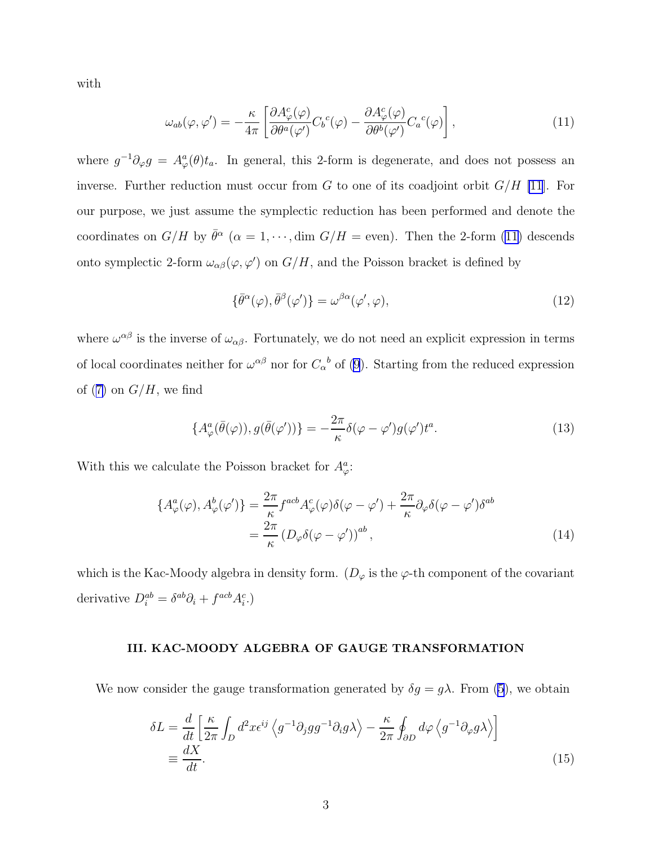<span id="page-3-0"></span>with

$$
\omega_{ab}(\varphi, \varphi') = -\frac{\kappa}{4\pi} \left[ \frac{\partial A^c_\varphi(\varphi)}{\partial \theta^a(\varphi')} C_b{}^c(\varphi) - \frac{\partial A^c_\varphi(\varphi)}{\partial \theta^b(\varphi')} C_a{}^c(\varphi) \right],\tag{11}
$$

where  $g^{-1}\partial_{\varphi}g = A_{\varphi}^a(\theta)t_a$ . In general, this 2-form is degenerate, and does not possess an inverse. Further reduction must occur from G to one of its coadjoint orbit  $G/H$  [\[11](#page-8-0)]. For our purpose, we just assume the symplectic reduction has been performed and denote the coordinates on  $G/H$  by  $\bar{\theta}^{\alpha}$  ( $\alpha = 1, \dots$ , dim  $G/H =$  even). Then the 2-form (11) descends onto symplectic 2-form  $\omega_{\alpha\beta}(\varphi,\varphi')$  on  $G/H$ , and the Poisson bracket is defined by

$$
\{\bar{\theta}^{\alpha}(\varphi), \bar{\theta}^{\beta}(\varphi')\} = \omega^{\beta \alpha}(\varphi', \varphi),\tag{12}
$$

where  $\omega^{\alpha\beta}$  is the inverse of  $\omega_{\alpha\beta}$ . Fortunately, we do not need an explicit expression in terms of local coordinates neither for  $\omega^{\alpha\beta}$  nor for  $C_{\alpha}^{\ b}$  of [\(9](#page-2-0)). Starting from the reduced expression of([7\)](#page-2-0) on  $G/H$ , we find

$$
\{A^a_\varphi(\bar{\theta}(\varphi)), g(\bar{\theta}(\varphi'))\} = -\frac{2\pi}{\kappa}\delta(\varphi-\varphi')g(\varphi')t^a.
$$
\n(13)

With this we calculate the Poisson bracket for  $A^a_{\varphi}$ :

$$
\{A^a_\varphi(\varphi), A^b_\varphi(\varphi')\} = \frac{2\pi}{\kappa} f^{acb} A^c_\varphi(\varphi) \delta(\varphi - \varphi') + \frac{2\pi}{\kappa} \partial_\varphi \delta(\varphi - \varphi') \delta^{ab}
$$
  

$$
= \frac{2\pi}{\kappa} \left(D_\varphi \delta(\varphi - \varphi')\right)^{ab}, \tag{14}
$$

which is the Kac-Moody algebra in density form. ( $D_{\varphi}$  is the  $\varphi$ -th component of the covariant derivative  $D_i^{ab} = \delta^{ab}\partial_i + f^{acb}A_i^c.$ 

#### III. KAC-MOODY ALGEBRA OF GAUGE TRANSFORMATION

We now consider the gauge transformation generated by  $\delta g = g\lambda$ . From [\(5](#page-2-0)), we obtain

$$
\delta L = \frac{d}{dt} \left[ \frac{\kappa}{2\pi} \int_D d^2x \epsilon^{ij} \left\langle g^{-1} \partial_j g g^{-1} \partial_i g \lambda \right\rangle - \frac{\kappa}{2\pi} \oint_{\partial D} d\varphi \left\langle g^{-1} \partial_\varphi g \lambda \right\rangle \right]
$$
  

$$
\equiv \frac{dX}{dt}.
$$
 (15)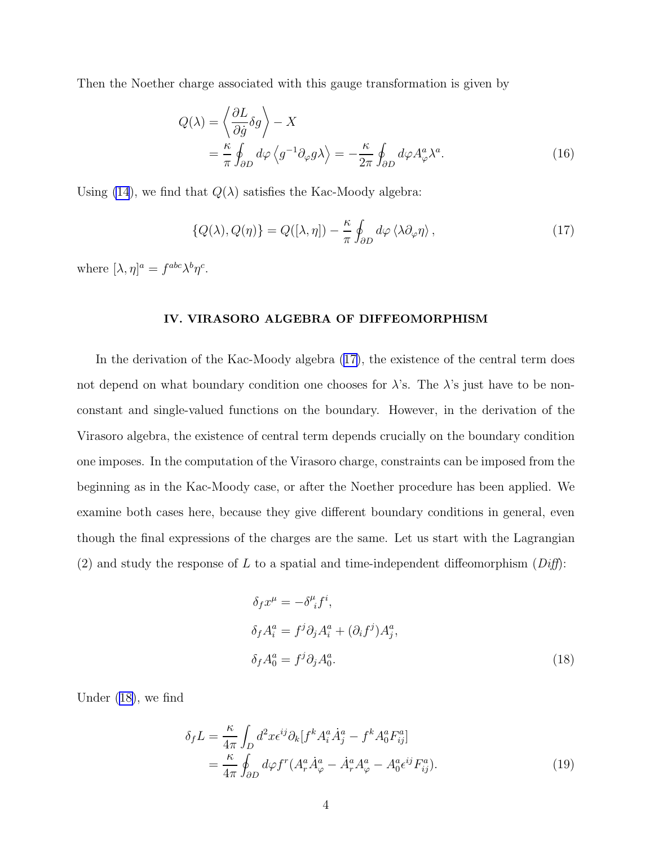<span id="page-4-0"></span>Then the Noether charge associated with this gauge transformation is given by

$$
Q(\lambda) = \left\langle \frac{\partial L}{\partial \dot{g}} \delta g \right\rangle - X
$$
  
=  $\frac{\kappa}{\pi} \oint_{\partial D} d\varphi \left\langle g^{-1} \partial_{\varphi} g \lambda \right\rangle = -\frac{\kappa}{2\pi} \oint_{\partial D} d\varphi A_{\varphi}^a \lambda^a.$  (16)

Using [\(14](#page-3-0)), we find that  $Q(\lambda)$  satisfies the Kac-Moody algebra:

$$
\{Q(\lambda), Q(\eta)\} = Q([\lambda, \eta]) - \frac{\kappa}{\pi} \oint_{\partial D} d\varphi \langle \lambda \partial_{\varphi} \eta \rangle, \qquad (17)
$$

where  $[\lambda, \eta]^a = f^{abc} \lambda^b \eta^c$ .

#### IV. VIRASORO ALGEBRA OF DIFFEOMORPHISM

In the derivation of the Kac-Moody algebra (17), the existence of the central term does not depend on what boundary condition one chooses for  $\lambda$ 's. The  $\lambda$ 's just have to be nonconstant and single-valued functions on the boundary. However, in the derivation of the Virasoro algebra, the existence of central term depends crucially on the boundary condition one imposes. In the computation of the Virasoro charge, constraints can be imposed from the beginning as in the Kac-Moody case, or after the Noether procedure has been applied. We examine both cases here, because they give different boundary conditions in general, even though the final expressions of the charges are the same. Let us start with the Lagrangian (2) and study the response of L to a spatial and time-independent diffeomorphism  $(Diff)$ :

$$
\delta_f x^{\mu} = -\delta^{\mu}_{\ i} f^i,
$$
  
\n
$$
\delta_f A_i^a = f^j \partial_j A_i^a + (\partial_i f^j) A_j^a,
$$
  
\n
$$
\delta_f A_0^a = f^j \partial_j A_0^a.
$$
\n(18)

Under (18), we find

$$
\delta_f L = \frac{\kappa}{4\pi} \int_D d^2x \epsilon^{ij} \partial_k [f^k A_i^a \dot{A}_j^a - f^k A_0^a F_{ij}^a]
$$
  
= 
$$
\frac{\kappa}{4\pi} \oint_{\partial D} d\varphi f^r (A_r^a \dot{A}_\varphi^a - \dot{A}_r^a A_\varphi^a - A_0^a \epsilon^{ij} F_{ij}^a).
$$
 (19)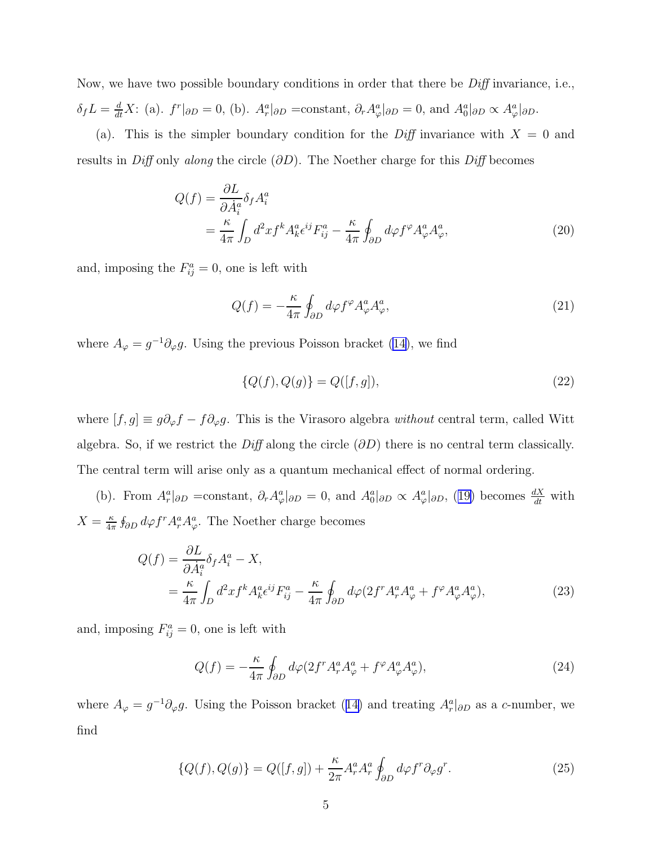<span id="page-5-0"></span>Now, we have two possible boundary conditions in order that there be *Diff* invariance, i.e.,  $\delta_f L = \frac{d}{dt} X$ : (a).  $f^r|_{\partial D} = 0$ , (b).  $A_r^a|_{\partial D} = \text{constant}$ ,  $\partial_r A_\varphi^a|_{\partial D} = 0$ , and  $A_0^a|_{\partial D} \propto A_\varphi^a|_{\partial D}$ .

(a). This is the simpler boundary condition for the Diff invariance with  $X = 0$  and results in Diff only along the circle  $(\partial D)$ . The Noether charge for this Diff becomes

$$
Q(f) = \frac{\partial L}{\partial \dot{A}_i^a} \delta_f A_i^a
$$
  
=  $\frac{\kappa}{4\pi} \int_D d^2x f^k A_k^a \epsilon^{ij} F_{ij}^a - \frac{\kappa}{4\pi} \oint_{\partial D} d\varphi f^\varphi A_\varphi^a A_\varphi^a,$  (20)

and, imposing the  $F_{ij}^a = 0$ , one is left with

$$
Q(f) = -\frac{\kappa}{4\pi} \oint_{\partial D} d\varphi f^{\varphi} A^a_{\varphi} A^a_{\varphi},\tag{21}
$$

where  $A_{\varphi} = g^{-1} \partial_{\varphi} g$ . Using the previous Poisson bracket [\(14\)](#page-3-0), we find

$$
\{Q(f), Q(g)\} = Q([f, g]),\tag{22}
$$

where  $[f, g] \equiv g \partial_{\varphi} f - f \partial_{\varphi} g$ . This is the Virasoro algebra *without* central term, called Witt algebra. So, if we restrict the Diff along the circle  $(\partial D)$  there is no central term classically. The central term will arise only as a quantum mechanical effect of normal ordering.

(b).From  $A_r^a|_{\partial D}$  =constant,  $\partial_r A_\varphi^a|_{\partial D} = 0$ , and  $A_0^a|_{\partial D} \propto A_\varphi^a|_{\partial D}$ , ([19\)](#page-4-0) becomes  $\frac{dX}{dt}$  with  $X = \frac{\kappa}{4\pi} \oint_{\partial D} d\varphi f^r A_r^a A_\varphi^a$ . The Noether charge becomes

$$
Q(f) = \frac{\partial L}{\partial \dot{A}_i^a} \delta_f A_i^a - X,
$$
  
=  $\frac{\kappa}{4\pi} \int_D d^2x f^k A_k^a \epsilon^{ij} F_{ij}^a - \frac{\kappa}{4\pi} \oint_{\partial D} d\varphi (2f^r A_r^a A_\varphi^a + f^\varphi A_\varphi^a A_\varphi^a),$  (23)

and, imposing  $F_{ij}^a = 0$ , one is left with

$$
Q(f) = -\frac{\kappa}{4\pi} \oint_{\partial D} d\varphi (2f^r A_r^a A_\varphi^a + f^\varphi A_\varphi^a A_\varphi^a), \tag{24}
$$

where $A_{\varphi} = g^{-1} \partial_{\varphi} g$ . Using the Poisson bracket ([14\)](#page-3-0) and treating  $A_r^a|_{\partial D}$  as a c-number, we find

$$
\{Q(f), Q(g)\} = Q([f, g]) + \frac{\kappa}{2\pi} A_r^a A_r^a \oint_{\partial D} d\varphi f^r \partial_\varphi g^r. \tag{25}
$$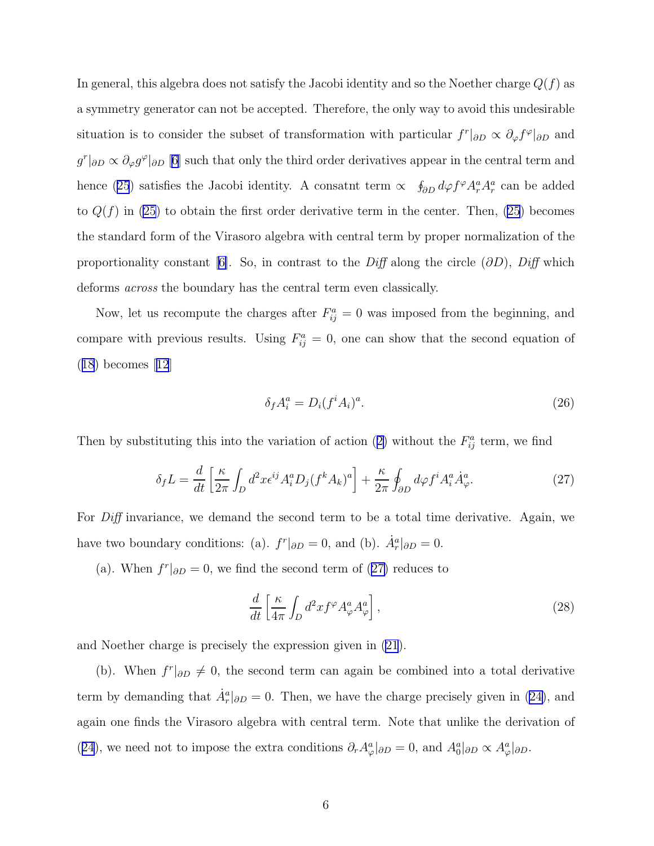In general, this algebra does not satisfy the Jacobi identity and so the Noether charge  $Q(f)$  as a symmetry generator can not be accepted. Therefore, the only way to avoid this undesirable situation is to consider the subset of transformation with particular  $f^r|_{\partial D} \propto \partial_{\varphi} f^{\varphi}|_{\partial D}$  and  $g^r|_{\partial D} \propto \partial_\varphi g^\varphi|_{\partial D}$  [\[6\]](#page-8-0) such that only the third order derivatives appear in the central term and hence([25](#page-5-0)) satisfies the Jacobi identity. A consatnt term  $\propto \oint_{\partial D} d\varphi f^{\varphi} A_r^a A_r^a$  can be added to  $Q(f)$  in [\(25](#page-5-0)) to obtain the first order derivative term in the center. Then, (25) becomes the standard form of the Virasoro algebra with central term by proper normalization of the proportionalityconstant [[6\]](#page-8-0). So, in contrast to the Diff along the circle  $(\partial D)$ , Diff which deforms across the boundary has the central term even classically.

Now, let us recompute the charges after  $F_{ij}^a = 0$  was imposed from the beginning, and compare with previous results. Using  $F_{ij}^a = 0$ , one can show that the second equation of ([18](#page-4-0)) becomes[[12](#page-8-0)]

$$
\delta_f A_i^a = D_i (f^i A_i)^a. \tag{26}
$$

Thenby substituting this into the variation of action ([2\)](#page-1-0) without the  $F_{ij}^a$  term, we find

$$
\delta_f L = \frac{d}{dt} \left[ \frac{\kappa}{2\pi} \int_D d^2x \epsilon^{ij} A_i^a D_j (f^k A_k)^a \right] + \frac{\kappa}{2\pi} \oint_{\partial D} d\varphi f^i A_i^a \dot{A}_\varphi^a. \tag{27}
$$

For *Diff* invariance, we demand the second term to be a total time derivative. Again, we have two boundary conditions: (a).  $f^r|_{\partial D} = 0$ , and (b).  $\dot{A}_r^a|_{\partial D} = 0$ .

(a). When  $f^r|_{\partial D} = 0$ , we find the second term of (27) reduces to

$$
\frac{d}{dt} \left[ \frac{\kappa}{4\pi} \int_D d^2x f^\varphi A^a_\varphi A^a_\varphi \right],\tag{28}
$$

and Noether charge is precisely the expression given in [\(21](#page-5-0)).

(b). When  $f^r|_{\partial D} \neq 0$ , the second term can again be combined into a total derivative termby demanding that  $\dot{A}^a_r|_{\partial D} = 0$ . Then, we have the charge precisely given in ([24\)](#page-5-0), and again one finds the Virasoro algebra with central term. Note that unlike the derivation of ([24](#page-5-0)), we need not to impose the extra conditions  $\partial_r A^a_\varphi|_{\partial D} = 0$ , and  $A^a_0|_{\partial D} \propto A^a_\varphi|_{\partial D}$ .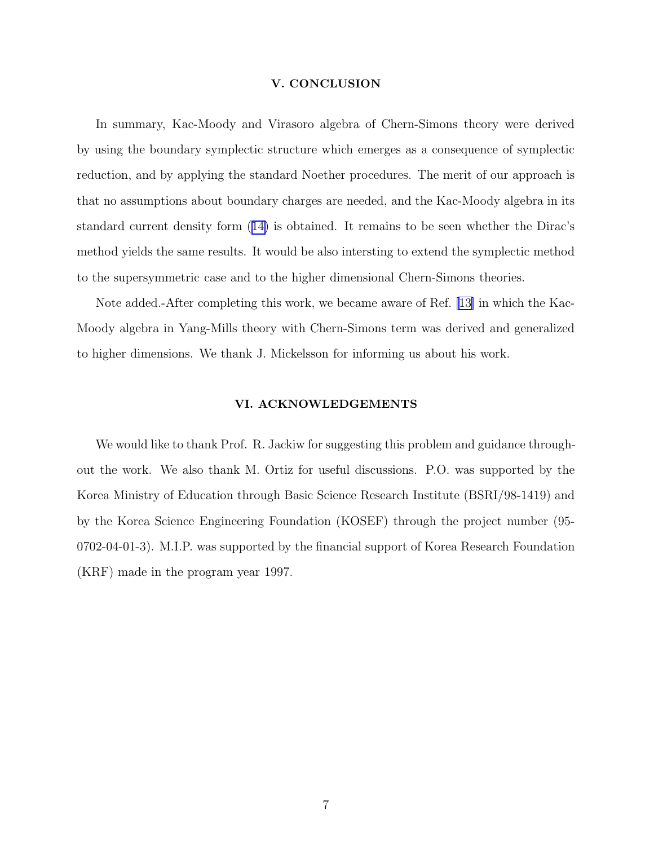#### V. CONCLUSION

In summary, Kac-Moody and Virasoro algebra of Chern-Simons theory were derived by using the boundary symplectic structure which emerges as a consequence of symplectic reduction, and by applying the standard Noether procedures. The merit of our approach is that no assumptions about boundary charges are needed, and the Kac-Moody algebra in its standard current density form([14\)](#page-3-0) is obtained. It remains to be seen whether the Dirac's method yields the same results. It would be also intersting to extend the symplectic method to the supersymmetric case and to the higher dimensional Chern-Simons theories.

Note added.-After completing this work, we became aware of Ref.[[13\]](#page-9-0) in which the Kac-Moody algebra in Yang-Mills theory with Chern-Simons term was derived and generalized to higher dimensions. We thank J. Mickelsson for informing us about his work.

#### VI. ACKNOWLEDGEMENTS

We would like to thank Prof. R. Jackiw for suggesting this problem and guidance throughout the work. We also thank M. Ortiz for useful discussions. P.O. was supported by the Korea Ministry of Education through Basic Science Research Institute (BSRI/98-1419) and by the Korea Science Engineering Foundation (KOSEF) through the project number (95- 0702-04-01-3). M.I.P. was supported by the financial support of Korea Research Foundation (KRF) made in the program year 1997.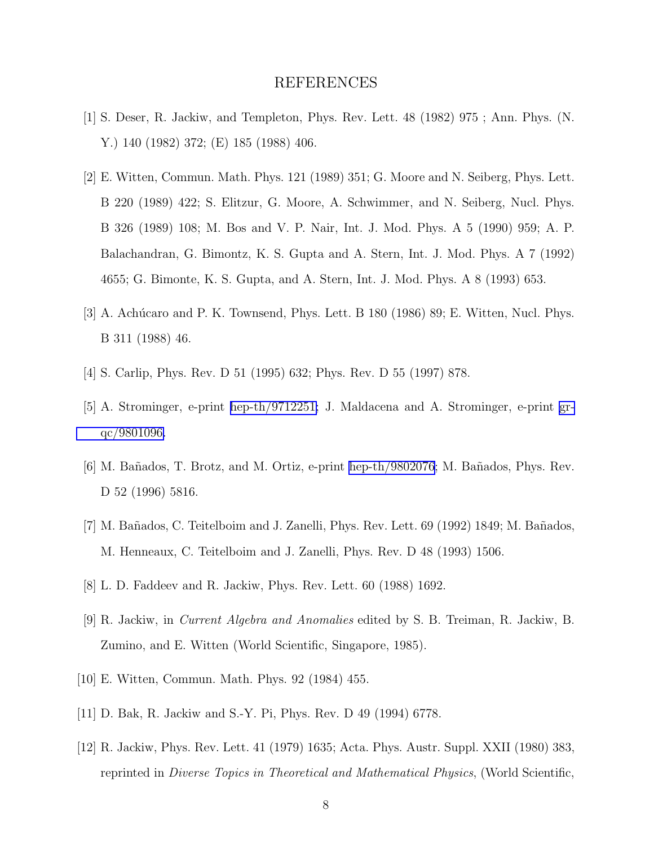### REFERENCES

- <span id="page-8-0"></span>[1] S. Deser, R. Jackiw, and Templeton, Phys. Rev. Lett. 48 (1982) 975 ; Ann. Phys. (N. Y.) 140 (1982) 372; (E) 185 (1988) 406.
- [2] E. Witten, Commun. Math. Phys. 121 (1989) 351; G. Moore and N. Seiberg, Phys. Lett. B 220 (1989) 422; S. Elitzur, G. Moore, A. Schwimmer, and N. Seiberg, Nucl. Phys. B 326 (1989) 108; M. Bos and V. P. Nair, Int. J. Mod. Phys. A 5 (1990) 959; A. P. Balachandran, G. Bimontz, K. S. Gupta and A. Stern, Int. J. Mod. Phys. A 7 (1992) 4655; G. Bimonte, K. S. Gupta, and A. Stern, Int. J. Mod. Phys. A 8 (1993) 653.
- [3] A. Achúcaro and P. K. Townsend, Phys. Lett. B  $180$  (1986) 89; E. Witten, Nucl. Phys. B 311 (1988) 46.
- [4] S. Carlip, Phys. Rev. D 51 (1995) 632; Phys. Rev. D 55 (1997) 878.
- [5] A. Strominger, e-print [hep-th/9712251;](http://arxiv.org/abs/hep-th/9712251) J. Maldacena and A. Strominger, e-print [gr](http://arxiv.org/abs/gr-qc/9801096)[qc/9801096.](http://arxiv.org/abs/gr-qc/9801096)
- [6] M. Ba˜nados, T. Brotz, and M. Ortiz, e-print [hep-th/9802076](http://arxiv.org/abs/hep-th/9802076); M. Ba˜nados, Phys. Rev. D 52 (1996) 5816.
- [7] M. Ba˜nados, C. Teitelboim and J. Zanelli, Phys. Rev. Lett. 69 (1992) 1849; M. Ba˜nados, M. Henneaux, C. Teitelboim and J. Zanelli, Phys. Rev. D 48 (1993) 1506.
- [8] L. D. Faddeev and R. Jackiw, Phys. Rev. Lett. 60 (1988) 1692.
- [9] R. Jackiw, in Current Algebra and Anomalies edited by S. B. Treiman, R. Jackiw, B. Zumino, and E. Witten (World Scientific, Singapore, 1985).
- [10] E. Witten, Commun. Math. Phys. 92 (1984) 455.
- [11] D. Bak, R. Jackiw and S.-Y. Pi, Phys. Rev. D 49 (1994) 6778.
- [12] R. Jackiw, Phys. Rev. Lett. 41 (1979) 1635; Acta. Phys. Austr. Suppl. XXII (1980) 383, reprinted in Diverse Topics in Theoretical and Mathematical Physics, (World Scientific,